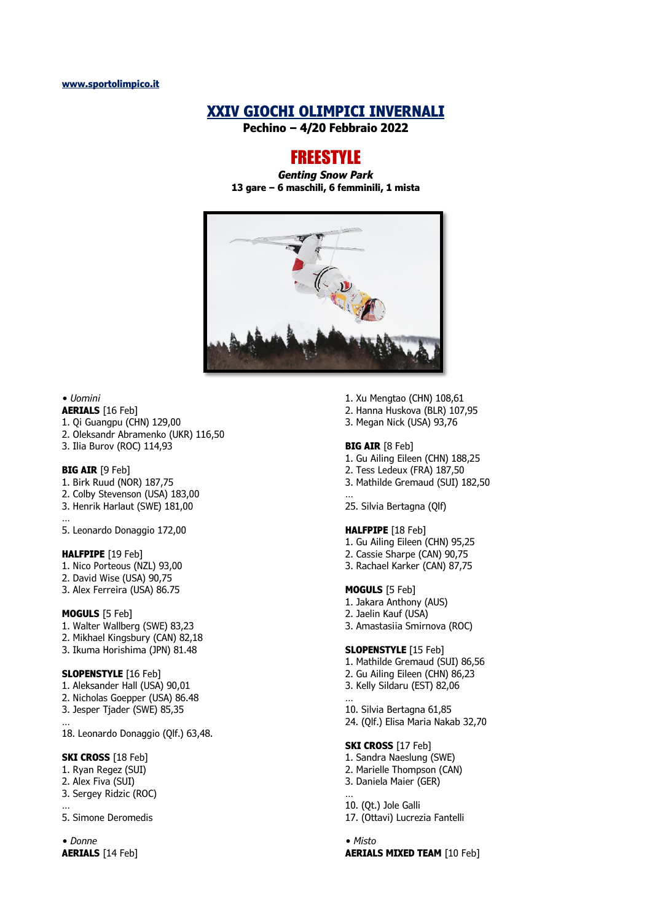# **XXIV GIOCHI OLIMPICI INVERNALI**

**Pechino – 4/20 Febbraio 2022**

# FREESTYLE

*Genting Snow Park* **13 gare – 6 maschili, 6 femminili, 1 mista**



#### *• Uomini*

- **AERIALS** [16 Feb]
- 1. Qi Guangpu (CHN) 129,00
- 2. Oleksandr Abramenko (UKR) 116,50
- 3. Ilia Burov (ROC) 114,93

#### **BIG AIR** [9 Feb]

- 1. Birk Ruud (NOR) 187,75
- 2. Colby Stevenson (USA) 183,00
- 3. Henrik Harlaut (SWE) 181,00
- … 5. Leonardo Donaggio 172,00

### **HALFPIPE** [19 Feb]

- 1. Nico Porteous (NZL) 93,00
- 2. David Wise (USA) 90,75
- 3. Alex Ferreira (USA) 86.75

#### **MOGULS** [5 Feb]

- 1. Walter Wallberg (SWE) 83,23
- 2. Mikhael Kingsbury (CAN) 82,18
- 3. Ikuma Horishima (JPN) 81.48

# **SLOPENSTYLE** [16 Feb]

- 1. Aleksander Hall (USA) 90,01
- 2. Nicholas Goepper (USA) 86.48
- 3. Jesper Tjader (SWE) 85,35 …
- 18. Leonardo Donaggio (Qlf.) 63,48.

#### **SKI CROSS** [18 Feb]

- 1. Ryan Regez (SUI)
- 2. Alex Fiva (SUI)

…

3. Sergey Ridzic (ROC)

5. Simone Deromedis

*• Donne* **AERIALS** [14 Feb]

- 1. Xu Mengtao (CHN) 108,61
- 2. Hanna Huskova (BLR) 107,95
- 3. Megan Nick (USA) 93,76

#### **BIG AIR** [8 Feb]

- 1. Gu Ailing Eileen (CHN) 188,25
- 2. Tess Ledeux (FRA) 187,50
- 3. Mathilde Gremaud (SUI) 182,50 …
- 25. Silvia Bertagna (Qlf)

#### **HALFPIPE** [18 Feb]

- 1. Gu Ailing Eileen (CHN) 95,25
- 2. Cassie Sharpe (CAN) 90,75
- 3. Rachael Karker (CAN) 87,75

### **MOGULS** [5 Feb]

- 1. Jakara Anthony (AUS)
- 2. Jaelin Kauf (USA)
- 3. Amastasiia Smirnova (ROC)

# **SLOPENSTYLE** [15 Feb]

- 1. Mathilde Gremaud (SUI) 86,56 2. Gu Ailing Eileen (CHN) 86,23
- 3. Kelly Sildaru (EST) 82,06
- … 10. Silvia Bertagna 61,85 24. (Qlf.) Elisa Maria Nakab 32,70

#### **SKI CROSS** [17 Feb]

- 1. Sandra Naeslung (SWE) 2. Marielle Thompson (CAN) 3. Daniela Maier (GER)
- … 10. (Qt.) Jole Galli
- 17. (Ottavi) Lucrezia Fantelli

# *• Misto* **AERIALS MIXED TEAM** [10 Feb]